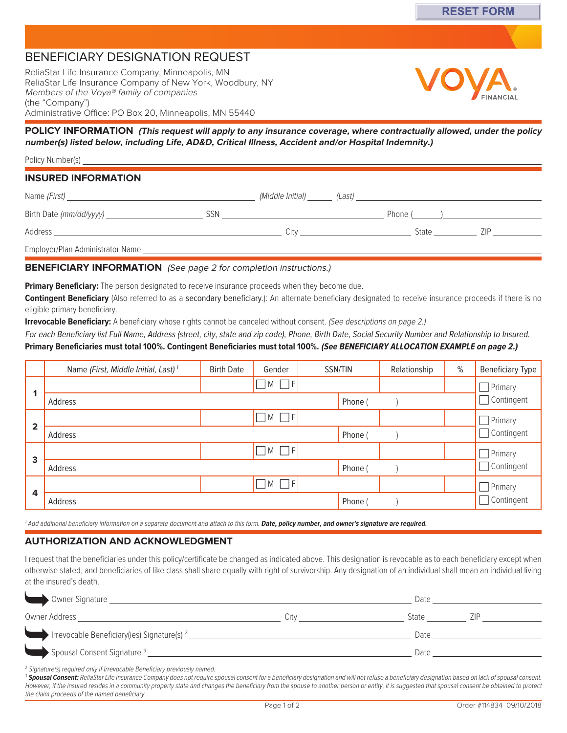# Beneficiary Designation request

ReliaStar Life Insurance Company, Minneapolis, MN ReliaStar Life Insurance Company of New York, Woodbury, NY Members of the Voya® family of companies (the "Company") Administrative Office: PO Box 20, Minneapolis, MN 55440



**POLICY INFORMATION (This request will apply to any insurance coverage, where contractually allowed, under the policy number(s) listed below, including Life, AD&D, Critical Illness, Accident and/or Hospital Indemnity.)**

| <b>INSURED INFORMATION</b>       |            |      |                                                                                                                                                                                                                                |  |
|----------------------------------|------------|------|--------------------------------------------------------------------------------------------------------------------------------------------------------------------------------------------------------------------------------|--|
|                                  |            |      |                                                                                                                                                                                                                                |  |
| Birth Date (mm/dd/yyyy)          | <b>SSN</b> |      | Phone () and () and () are the contract of the contract of the contract of the contract of the contract of the contract of the contract of the contract of the contract of the contract of the contract of the contract of the |  |
|                                  |            | City | State ZIP                                                                                                                                                                                                                      |  |
| Employer/Plan Administrator Name |            |      |                                                                                                                                                                                                                                |  |

## **BENEFICIARY INFORMATION** (See page 2 for completion instructions.)

**Primary Beneficiary:** The person designated to receive insurance proceeds when they become due.

**Contingent Beneficiary** (Also referred to as a secondary beneficiary.): An alternate beneficiary designated to receive insurance proceeds if there is no eligible primary beneficiary.

**Irrevocable Beneficiary:** A beneficiary whose rights cannot be canceled without consent. (See descriptions on page 2.)

For each Beneficiary list Full Name, Address (street, city, state and zip code), Phone, Birth Date, Social Security Number and Relationship to Insured. **Primary Beneficiaries must total 100%. Contingent Beneficiaries must total 100%. (See BENEFICIARY ALLOCATION EXAMPLE on page 2.)**

|                         | Name (First, Middle Initial, Last) <sup>1</sup> | <b>Birth Date</b> | Gender             | SSN/TIN | Relationship |  | % | <b>Beneficiary Type</b>                                  |  |
|-------------------------|-------------------------------------------------|-------------------|--------------------|---------|--------------|--|---|----------------------------------------------------------|--|
|                         |                                                 |                   | $\neg M \Box F$    |         |              |  |   | $\Box$ Primary<br>Contingent<br>$\overline{\phantom{0}}$ |  |
|                         | Address                                         |                   |                    |         | Phone (      |  |   |                                                          |  |
| $\overline{\mathbf{2}}$ |                                                 |                   | $\Box$ M $\Box$ F  |         |              |  |   | Primary                                                  |  |
|                         | Address                                         |                   |                    |         | Phone (      |  |   | Contingent<br>$\overline{\phantom{0}}$                   |  |
| 3                       |                                                 |                   | $\neg M \Box F$    |         |              |  |   | $\Box$ Primary                                           |  |
|                         | Address                                         |                   |                    |         | Phone (      |  |   | Contingent<br>$\overline{\phantom{0}}$                   |  |
| 4                       |                                                 |                   | $\neg M \square F$ |         |              |  |   | $\Box$ Primary                                           |  |
|                         | Address                                         |                   |                    |         | Phone        |  |   | Contingent                                               |  |

<sup>1</sup> Add additional beneficiary information on a separate document and attach to this form. **Date, policy number, and owner's signature are required**.

## **Authorization and acknowledgment**

I request that the beneficiaries under this policy/certificate be changed as indicated above. This designation is revocable as to each beneficiary except when otherwise stated, and beneficiaries of like class shall share equally with right of survivorship. Any designation of an individual shall mean an individual living at the insured's death.

| Owner Signature                                                                     |      | Date  |  |
|-------------------------------------------------------------------------------------|------|-------|--|
|                                                                                     | Citv | State |  |
|                                                                                     |      | Date  |  |
|                                                                                     |      | Date  |  |
| <sup>2</sup> Signature(s) required only if Irrevocable Beneficiary previously named |      |       |  |

<sup>2</sup> Signature(s) required only if Irrevocable Beneficiary previously named.

<sup>3</sup> Spousal Consent: ReliaStar Life Insurance Company does not require spousal consent for a beneficiary designation and will not refuse a beneficiary designation based on lack of spousal consent. However, if the insured resides in a community property state and changes the beneficiary from the spouse to another person or entity, it is suggested that spousal consent be obtained to protect the claim proceeds of the named beneficiary.